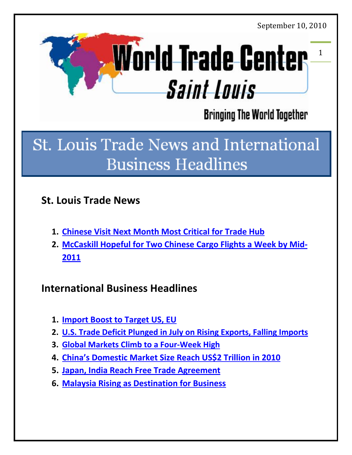<span id="page-0-0"></span>

**Bringing The World Together** 

# **St. Louis Trade News and International Business Headlines**

# **St. Louis Trade News**

- **1. [Chinese Visit Next Month Most Critical for Trade Hub](#page-1-0)**
- **2. [McCaskill Hopeful for Two Chinese Cargo Flights a Week by Mid-](#page-2-0)[2011](#page-2-0)**

# **International Business Headlines**

- **1. Import [Boost to Target US, EU](#page-3-0)**
- **2. [U.S. Trade Deficit Plunged in July on Rising Exports, Falling Imports](#page-4-0)**
- **3. [Global Markets Climb to a Four-Week High](#page-6-0)**
- **4. [China's Domestic Market Size Reach US](#page-7-0)\$2 Trillion in 2010**
- **5. [Japan, India Reach Free Trade Agreement](#page-8-0)**
- **6. [Malaysia Rising as Destination for Business](#page-9-0)**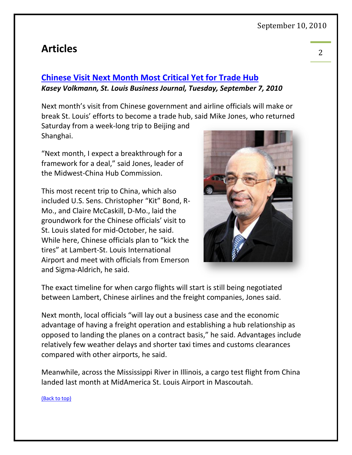# **Articles** <sup>2</sup>

# <span id="page-1-0"></span>**[Chinese Visit Next Month Most Critical Yet for Trade Hub](http://www.bizjournals.com/stlouis/stories/2010/09/06/daily13.html?ana=from_rss&utm_source=feedburner&utm_medium=feed&utm_campaign=Feed%3A+industry_12+(Industry+Travel+Industry))** *Kasey Volkmann, St. Louis Business Journal, Tuesday, September 7, 2010*

Next month's visit from Chinese government and airline officials will make or break St. Louis' efforts to become a trade hub, said Mike Jones, who returned

Saturday from a week-long trip to Beijing and Shanghai.

"Next month, I expect a breakthrough for a framework for a deal," said Jones, leader of the Midwest-China Hub Commission.

This most recent trip to China, which also included U.S. Sens. Christopher "Kit" Bond, R-Mo., and Claire McCaskill, D-Mo., laid the groundwork for the Chinese officials' visit to St. Louis slated for mid-October, he said. While here, Chinese officials plan to "kick the tires" at Lambert-St. Louis International Airport and meet with officials from Emerson and Sigma-Aldrich, he said.



The exact timeline for when cargo flights will start is still being negotiated between Lambert, Chinese airlines and the freight companies, Jones said.

Next month, local officials "will lay out a business case and the economic advantage of having a freight operation and establishing a hub relationship as opposed to landing the planes on a contract basis," he said. Advantages include relatively few weather delays and shorter taxi times and customs clearances compared with other airports, he said.

Meanwhile, across the Mississippi River in Illinois, a cargo test flight from China landed last month at MidAmerica St. Louis Airport in Mascoutah.

#### [\(Back to top\)](#page-0-0)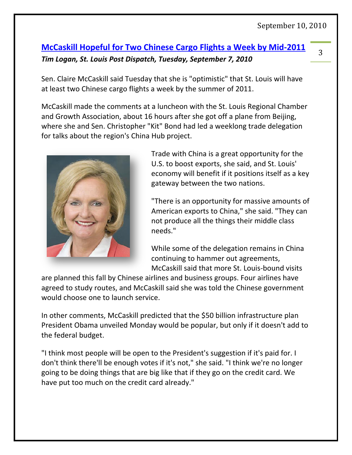#### <span id="page-2-0"></span>3 **[McCaskill Hopeful for Two Chinese Cargo Flights a Week by Mid-2011](http://www.stltoday.com/news/local/govt-and-politics/article_43dce5be-bab3-11df-a7fd-00127992bc8b.html)** *Tim Logan, St. Louis Post Dispatch, Tuesday, September 7, 2010*

Sen. Claire McCaskill said Tuesday that she is "optimistic" that St. Louis will have at least two Chinese cargo flights a week by the summer of 2011.

McCaskill made the comments at a luncheon with the St. Louis Regional Chamber and Growth Association, about 16 hours after she got off a plane from Beijing, where she and Sen. Christopher "Kit" Bond had led a weeklong trade delegation for talks about the region's China Hub project.



Trade with China is a great opportunity for the U.S. to boost exports, she said, and St. Louis' economy will benefit if it positions itself as a key gateway between the two nations.

"There is an opportunity for massive amounts of American exports to China," she said. "They can not produce all the things their middle class needs."

While some of the delegation remains in China continuing to hammer out agreements, McCaskill said that more St. Louis-bound visits

are planned this fall by Chinese airlines and business groups. Four airlines have agreed to study routes, and McCaskill said she was told the Chinese government would choose one to launch service.

In other comments, McCaskill predicted that the \$50 billion infrastructure plan President Obama unveiled Monday would be popular, but only if it doesn't add to the federal budget.

"I think most people will be open to the President's suggestion if it's paid for. I don't think there'll be enough votes if it's not," she said. "I think we're no longer going to be doing things that are big like that if they go on the credit card. We have put too much on the credit card already."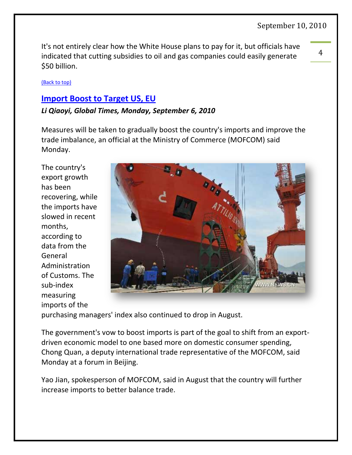It's not entirely clear how the White House plans to pay for it, but officials have indicated that cutting subsidies to oil and gas companies could easily generate \$50 billion.

[\(Back to top\)](#page-0-0)

### <span id="page-3-0"></span>**[Import Boost to Target US, EU](http://business.globaltimes.cn/china-economy/2010-09/570673.html)**

#### *Li Qiaoyi, Global Times, Monday, September 6, 2010*

Measures will be taken to gradually boost the country's imports and improve the trade imbalance, an official at the Ministry of Commerce (MOFCOM) said Monday.

The country's export growth has been recovering, while the imports have slowed in recent months, according to data from the General Administration of Customs. The sub-index measuring imports of the



purchasing managers' index also continued to drop in August.

The government's vow to boost imports is part of the goal to shift from an exportdriven economic model to one based more on domestic consumer spending, Chong Quan, a deputy international trade representative of the MOFCOM, said Monday at a forum in Beijing.

Yao Jian, spokesperson of MOFCOM, said in August that the country will further increase imports to better balance trade.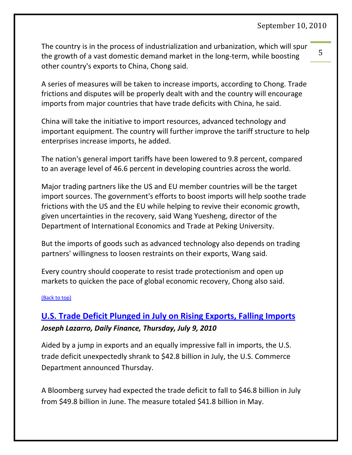The country is in the process of industrialization and urbanization, which will spur the growth of a vast domestic demand market in the long-term, while boosting other country's exports to China, Chong said.

A series of measures will be taken to increase imports, according to Chong. Trade frictions and disputes will be properly dealt with and the country will encourage imports from major countries that have trade deficits with China, he said.

China will take the initiative to import resources, advanced technology and important equipment. The country will further improve the tariff structure to help enterprises increase imports, he added.

The nation's general import tariffs have been lowered to 9.8 percent, compared to an average level of 46.6 percent in developing countries across the world.

Major trading partners like the US and EU member countries will be the target import sources. The government's efforts to boost imports will help soothe trade frictions with the US and the EU while helping to revive their economic growth, given uncertainties in the recovery, said Wang Yuesheng, director of the Department of International Economics and Trade at Peking University.

But the imports of goods such as advanced technology also depends on trading partners' willingness to loosen restraints on their exports, Wang said.

Every country should cooperate to resist trade protectionism and open up markets to quicken the pace of global economic recovery, Chong also said.

#### [\(Back to top\)](#page-0-0)

# <span id="page-4-0"></span>**[U.S. Trade Deficit Plunged in July on Rising Exports, Falling Imports](http://www.dailyfinance.com/story/u-s-trade-deficit-july/19626777/)** *Joseph Lazarro, Daily Finance, Thursday, July 9, 2010*

Aided by a jump in exports and an equally impressive fall in imports, the U.S. trade deficit unexpectedly shrank to \$42.8 billion in July, the U.S. Commerce Department announced Thursday.

A Bloomberg survey had expected the trade deficit to fall to \$46.8 billion in July from \$49.8 billion in June. The measure totaled \$41.8 billion in May.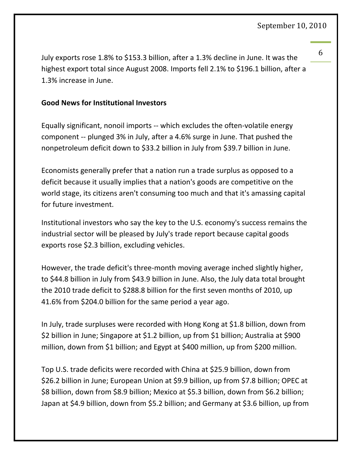6

July exports rose 1.8% to \$153.3 billion, after a 1.3% decline in June. It was the highest export total since August 2008. Imports fell 2.1% to \$196.1 billion, after a 1.3% increase in June.

#### **Good News for Institutional Investors**

Equally significant, nonoil imports -- which excludes the often-volatile energy component -- plunged 3% in July, after a 4.6% surge in June. That pushed the nonpetroleum deficit down to \$33.2 billion in July from \$39.7 billion in June.

Economists generally prefer that a nation run a trade surplus as opposed to a deficit because it usually implies that a nation's goods are competitive on the world stage, its citizens aren't consuming too much and that it's amassing capital for future investment.

Institutional investors who say the key to the U.S. economy's success remains the industrial sector will be pleased by July's trade report because capital goods exports rose \$2.3 billion, excluding vehicles.

However, the trade deficit's three-month moving average inched slightly higher, to \$44.8 billion in July from \$43.9 billion in June. Also, the July data total brought the 2010 trade deficit to \$288.8 billion for the first seven months of 2010, up 41.6% from \$204.0 billion for the same period a year ago.

In July, trade surpluses were recorded with Hong Kong at \$1.8 billion, down from \$2 billion in June; Singapore at \$1.2 billion, up from \$1 billion; Australia at \$900 million, down from \$1 billion; and Egypt at \$400 million, up from \$200 million.

Top U.S. trade deficits were recorded with China at \$25.9 billion, down from \$26.2 billion in June; European Union at \$9.9 billion, up from \$7.8 billion; OPEC at \$8 billion, down from \$8.9 billion; Mexico at \$5.3 billion, down from \$6.2 billion; Japan at \$4.9 billion, down from \$5.2 billion; and Germany at \$3.6 billion, up from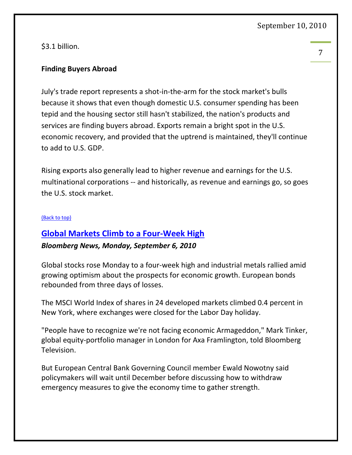\$3.1 billion.

#### **Finding Buyers Abroad**

July's trade report represents a shot-in-the-arm for the stock market's bulls because it shows that even though domestic U.S. consumer spending has been tepid and the housing sector still hasn't stabilized, the nation's products and services are finding buyers abroad. Exports remain a bright spot in the U.S. economic recovery, and provided that the uptrend is maintained, they'll continue to add to U.S. GDP.

Rising exports also generally lead to higher revenue and earnings for the U.S. multinational corporations -- and historically, as revenue and earnings go, so goes the U.S. stock market.

#### [\(Back to top\)](#page-0-0)

### <span id="page-6-0"></span>**[Global Markets Climb to a Four-Week High](http://www.chron.com/disp/story.mpl/business/7189082.html)**

#### *Bloomberg News, Monday, September 6, 2010*

Global stocks rose Monday to a four-week high and industrial metals rallied amid growing optimism about the prospects for economic growth. European bonds rebounded from three days of losses.

The MSCI World Index of shares in 24 developed markets climbed 0.4 percent in New York, where exchanges were closed for the Labor Day holiday.

"People have to recognize we're not facing economic Armageddon," Mark Tinker, global equity-portfolio manager in London for Axa Framlington, told Bloomberg Television.

But European Central Bank Governing Council member Ewald Nowotny said policymakers will wait until December before discussing how to withdraw emergency measures to give the economy time to gather strength.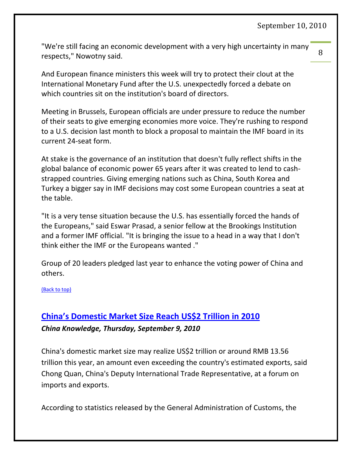"We're still facing an economic development with a very high uncertainty in many respects," Nowotny said.

And European finance ministers this week will try to protect their clout at the International Monetary Fund after the U.S. unexpectedly forced a debate on which countries sit on the institution's board of directors.

Meeting in Brussels, European officials are under pressure to reduce the number of their seats to give emerging economies more voice. They're rushing to respond to a U.S. decision last month to block a proposal to maintain the IMF board in its current 24-seat form.

At stake is the governance of an institution that doesn't fully reflect shifts in the global balance of economic power 65 years after it was created to lend to cashstrapped countries. Giving emerging nations such as China, South Korea and Turkey a bigger say in IMF decisions may cost some European countries a seat at the table.

"It is a very tense situation because the U.S. has essentially forced the hands of the Europeans," said Eswar Prasad, a senior fellow at the Brookings Institution and a former IMF official. "It is bringing the issue to a head in a way that I don't think either the IMF or the Europeans wanted ."

Group of 20 leaders pledged last year to enhance the voting power of China and others.

#### [\(Back to top\)](#page-0-0)

# <span id="page-7-0"></span>**[China's Domestic Market Size Reach US\\$2 Trillion in 2010](http://www.chinaknowledge.com/Newswires/News_Detail.aspx?type=1&cat=TRP&NewsID=%2036759)** *China Knowledge, Thursday, September 9, 2010*

China's domestic market size may realize US\$2 trillion or around RMB 13.56 trillion this year, an amount even exceeding the country's estimated exports, said Chong Quan, China's Deputy International Trade Representative, at a forum on imports and exports.

According to statistics released by the General Administration of Customs, the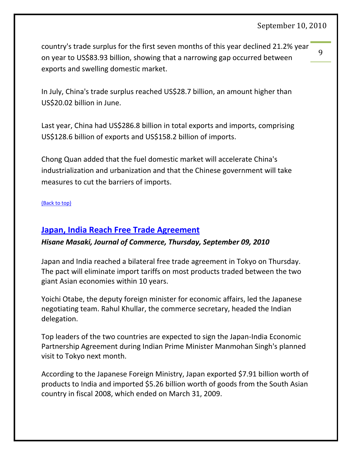$\mathbf{q}$ 

country's trade surplus for the first seven months of this year declined 21.2% year on year to US\$83.93 billion, showing that a narrowing gap occurred between exports and swelling domestic market.

In July, China's trade surplus reached US\$28.7 billion, an amount higher than US\$20.02 billion in June.

Last year, China had US\$286.8 billion in total exports and imports, comprising US\$128.6 billion of exports and US\$158.2 billion of imports.

Chong Quan added that the fuel domestic market will accelerate China's industrialization and urbanization and that the Chinese government will take measures to cut the barriers of imports.

[\(Back to top\)](#page-0-0)

#### <span id="page-8-0"></span>**[Japan, India Reach Free Trade Agreement](http://www.joc.com/government-regulation/japan-india-reach-free-trade-agreement)**

#### *Hisane Masaki, Journal of Commerce, Thursday, September 09, 2010*

Japan and India reached a bilateral free trade agreement in Tokyo on Thursday. The pact will eliminate import tariffs on most products traded between the two giant Asian economies within 10 years.

Yoichi Otabe, the deputy foreign minister for economic affairs, led the Japanese negotiating team. Rahul Khullar, the commerce secretary, headed the Indian delegation.

Top leaders of the two countries are expected to sign the Japan-India Economic Partnership Agreement during Indian Prime Minister Manmohan Singh's planned visit to Tokyo next month.

According to the Japanese Foreign Ministry, Japan exported \$7.91 billion worth of products to India and imported \$5.26 billion worth of goods from the South Asian country in fiscal 2008, which ended on March 31, 2009.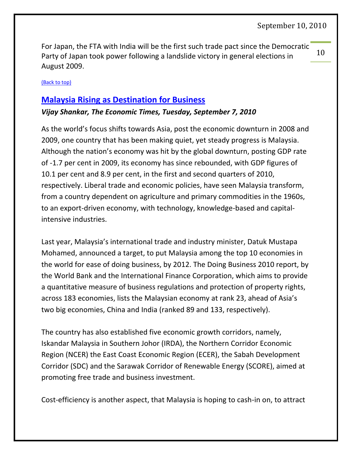10 For Japan, the FTA with India will be the first such trade pact since the Democratic Party of Japan took power following a landslide victory in general elections in August 2009.

#### [\(Back to top\)](#page-0-0)

### <span id="page-9-0"></span>**[Malaysia Rising as Destination for Business](http://economictimes.indiatimes.com/news/politics/nation/Malaysia-rising-as-a-destination-for-business/articleshow/6509622.cms)**

#### *Vijay Shankar, The Economic Times, Tuesday, September 7, 2010*

As the world's focus shifts towards Asia, post the economic downturn in 2008 and 2009, one country that has been making quiet, yet steady progress is Malaysia. Although the nation's economy was hit by the global downturn, posting GDP rate of -1.7 per cent in 2009, its economy has since rebounded, with GDP figures of 10.1 per cent and 8.9 per cent, in the first and second quarters of 2010, respectively. Liberal trade and economic policies, have seen Malaysia transform, from a country dependent on agriculture and primary commodities in the 1960s, to an export-driven economy, with technology, knowledge-based and capitalintensive industries.

Last year, Malaysia's international trade and industry minister, Datuk Mustapa Mohamed, announced a target, to put Malaysia among the top 10 economies in the world for ease of doing business, by 2012. The Doing Business 2010 report, by the World Bank and the International Finance Corporation, which aims to provide a quantitative measure of business regulations and protection of property rights, across 183 economies, lists the Malaysian economy at rank 23, ahead of Asia's two big economies, China and India (ranked 89 and 133, respectively).

The country has also established five economic growth corridors, namely, Iskandar Malaysia in Southern Johor (IRDA), the Northern Corridor Economic Region (NCER) the East Coast Economic Region (ECER), the Sabah Development Corridor (SDC) and the Sarawak Corridor of Renewable Energy (SCORE), aimed at promoting free trade and business investment.

Cost-efficiency is another aspect, that Malaysia is hoping to cash-in on, to attract